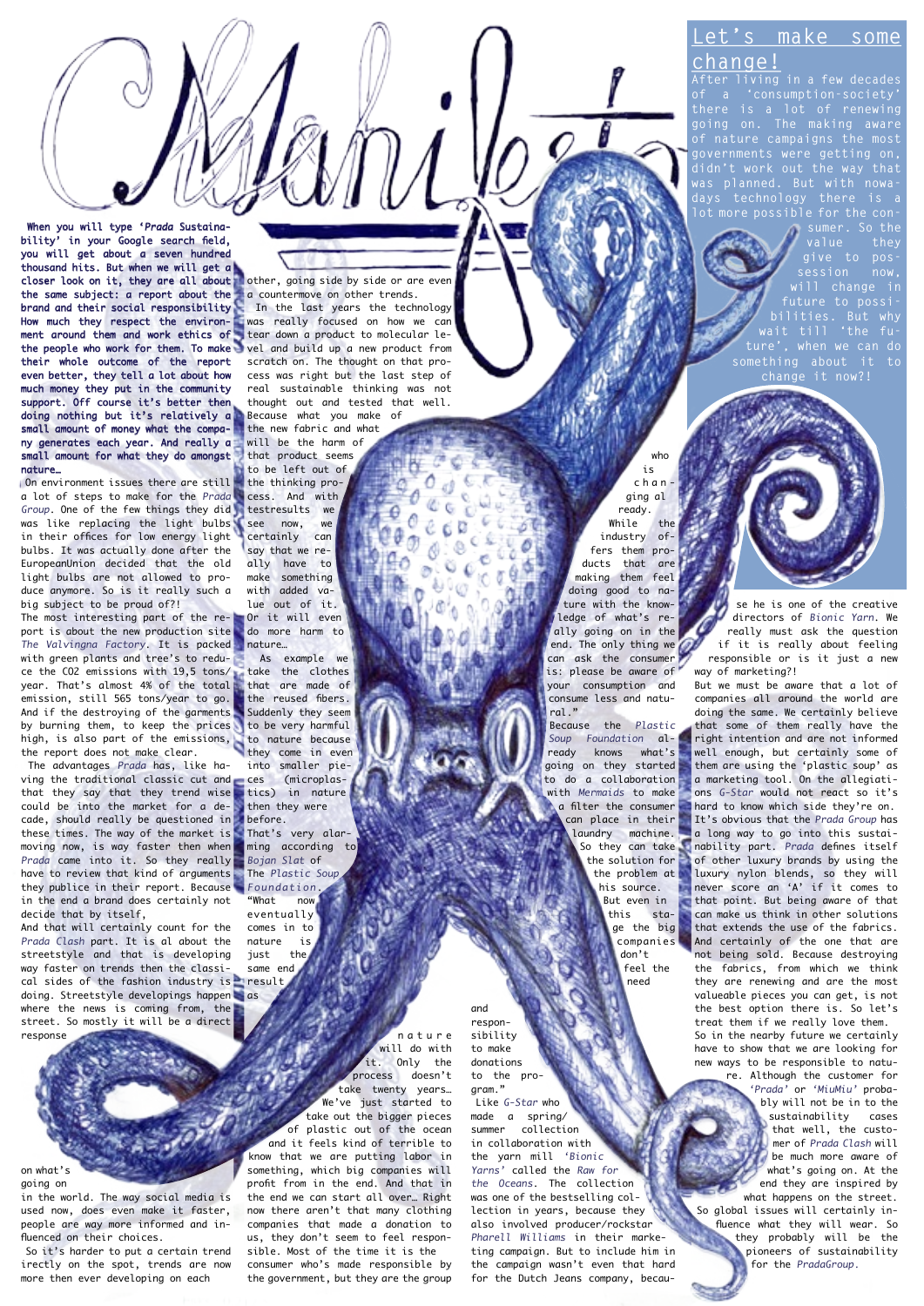## make some **change!**

**After living in a few decades of a 'consumption-society' there is a lot of renewing of nature campaigns the most didn't work out the way that was planned. But with nowadays technology there is a lot more possible for the con-**

**sumer. So the value they will change in bilities. But why ture', when we can do**  ething about **change it now?!**

**closer look on it, they are all about, o**ther, going side by side or are even **produce** When you will type 'Prada Sustainability' in your Google search field, you will get about a seven hundred thousand hits. But when we will get a the same subject: a report about the brand and their social responsibility How much they respect the environment around them and work ethics of the people who work for them. To make their whole outcome of the report even better, they tell a lot about how much money they put in the community support. Off course it's better then doing nothing but it's relatively a small amount of money what the company generates each year. And really a small amount for what they do amongst nature…

 On environment issues there are still a lot of steps to make for the Prada Group. One of the few things they did was like replacing the light bulbs in their offices for low energy light bulbs. It was actually done after the EuropeanUnion decided that the old light bulbs are not allowed to produce anymore. So is it really such a big subject to be proud of?!

The most interesting part of the report is about the new production site The Valvingna Factory. It is packed with green plants and tree's to reduce the CO2 emissions with 19,5 tons/ year. That's almost 4% of the total emission, still 565 tons/year to go. And if the destroying of the garments by burning them, to keep the prices high, is also part of the emissions, the report does not make clear.

 The advantages Prada has, like having the traditional classic cut and that they say that they trend wise could be into the market for a decade, should really be questioned in these times. The way of the market is moving now, is way faster then when Prada came into it. So they really have to review that kind of arguments they publice in their report. Because in the end a brand does certainly not decide that by itself,

doing. Streetstyle developings happen as And that will certainly count for the Prada Clash part. It is al about the streetstyle and that is developing way faster on trends then the classical sides of the fashion industry is where the news is coming from, the street. So mostly it will be a direct response

on what's going on

in the world. The way social media is used now, does even make it faster, people are way more informed and influenced on their choices.

 So it's harder to put a certain trend irectly on the spot, trends are now more then ever developing on each

a countermove on other trends. In the last years the technology

was really focused on how we can tear down a product to molecular level and build up a new product from scratch on. The thought on that process was right but the last step of real sustainable thinking was not thought out and tested that well. Because what you make of the new fabric and what will be the harm of that product seems to be left out of

the thinking process. And with testresults we see now, we certainly can say that we really have to make something with added value out of it. Or it will even

do more harm to nature… As example we

take the clothes that are made of the reused fibers. Suddenly they seem to be very harmful to nature because

they come in even into smaller pieces (microplastics) in nature then they were before.

That's very alarming according to Bojan Slat of The Plastic Sour Foundation. "What now

eventually comes in to nature is just the same end result

> n a t u r e will do with<br>it. Only the **Only** the process doesn't take twenty years… We've just started to take out the bigger pieces of plastic out of the ocean and it feels kind of terrible to know that we are putting labor in something, which big companies will profit from in the end. And that in the end we can start all over… Right now there aren't that many clothing companies that made a donation to us, they don't seem to feel responsible. Most of the time it is the

consumer who's made responsible by the government, but they are the group

who is char ging al ready.  $W$ hile the industry offers them products that are making them feel doing good to nature with the knowledge of what's re ally going on in the end. The only thing we can ask the consumer is: please be aware of your consumption and consume less and natural."

Because the Plastic Soup Foundation al-<br>ready knows what's ready knows going on they started to do a collaboration with Mermaids to make a filter the consumer can place in their laundry machine. So they can take the solution for the problem at his source. But even in this stage the big companies don't feel the need

responsibility to make donations to the program." Like G-Star who made a spring summer collection in collaboration with the yarn mill 'Bionic Yarns' called the Raw for the Oceans. The collection was one of the bestselling collection in years, because they also involved producer/rockstar Pharell Williams in their marketing campaign. But to include him in the campaign wasn't even that hard for the Dutch Jeans company, becau-

and

se he is one of the creative

directors of Bionic Yarn. We really must ask the question if it is really about feeling responsible or is it just a new way of marketing?!

But we must be aware that a lot of companies all around the world are doing the same. We certainly believe that some of them really have the right intention and are not informed well enough, but certainly some of them are using the 'plastic soup' as a marketing tool. On the allegiations G-Star would not react so it's hard to know which side they're on. It's obvious that the Prada Group has a long way to go into this sustainability part. Prada defines itself of other luxury brands by using the luxury nylon blends, so they will never score an 'A' if it comes to that point. But being aware of that can make us think in other solutions that extends the use of the fabrics. And certainly of the one that are not being sold. Because destroying the fabrics, from which we think they are renewing and are the most valueable pieces you can get, is not the best option there is. So let's treat them if we really love them. So in the nearby future we certainly have to show that we are looking for

new ways to be responsible to nature. Although the customer for 'Prada' or 'MiuMiu' probably will not be in to the sustainability cases that well, the customer of Prada Clash will be much more aware of what's going on. At the end they are inspired by

what happens on the street. So global issues will certainly influence what they will wear. So they probably will be the pioneers of sustainability for the PradaGroup.